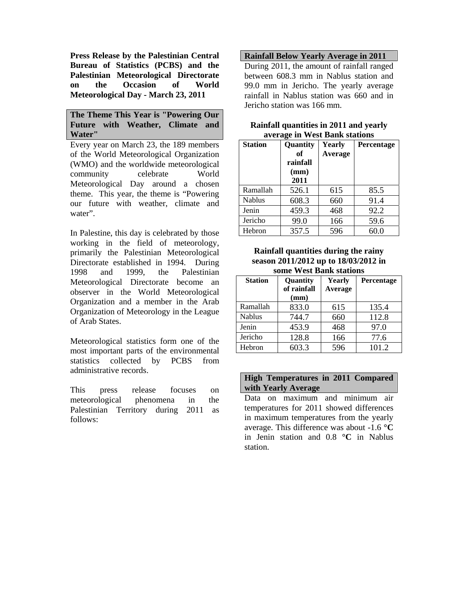**Press Release by the Palestinian Central Bureau of Statistics (PCBS) and the Palestinian Meteorological Directorate on the Occasion of World Meteorological Day - March 23, 2011** 

**The Theme This Year is "Powering Our Future with Weather, Climate and Water"** 

Every year on March 23, the 189 members of the World Meteorological Organization (WMO) and the worldwide meteorological community celebrate World Meteorological Day around a chosen theme. This year, the theme is "Powering our future with weather, climate and water".

In Palestine, this day is celebrated by those working in the field of meteorology, primarily the Palestinian Meteorological Directorate established in 1994. During 1998 and 1999, the Palestinian Meteorological Directorate become an observer in the World Meteorological Organization and a member in the Arab Organization of Meteorology in the League of Arab States.

Meteorological statistics form one of the most important parts of the environmental statistics collected by PCBS from administrative records.

This press release focuses on meteorological phenomena in the Palestinian Territory during 2011 as follows:

**Rainfall Below Yearly Average in 2011**

During 2011, the amount of rainfall ranged between 608.3 mm in Nablus station and 99.0 mm in Jericho. The yearly average rainfall in Nablus station was 660 and in Jericho station was 166 mm.

| Rainfall quantities in 2011 and yearly |
|----------------------------------------|
| average in West Bank stations          |

| <b>Station</b> | <b>Quantity</b><br>of<br>rainfall<br>(mm)<br>2011 | Yearly<br>Average | <b>Percentage</b> |
|----------------|---------------------------------------------------|-------------------|-------------------|
| Ramallah       | 526.1                                             | 615               | 85.5              |
| <b>Nablus</b>  | 608.3                                             | 660               | 91.4              |
| Jenin          | 459.3                                             | 468               | 92.2              |
| Jericho        | 99.0                                              | 166               | 59.6              |
| Hebron         | 357.5                                             | 596               | 60.0              |

**Rainfall quantities during the rainy season 2011/2012 up to 18/03/2012 in some West Bank stations** 

| <b>Station</b> | <b>Ouantity</b><br>of rainfall<br>(mm) | Yearly<br><b>Average</b> | Percentage |
|----------------|----------------------------------------|--------------------------|------------|
| Ramallah       | 833.0                                  | 615                      | 135.4      |
| <b>Nablus</b>  | 744.7                                  | 660                      | 112.8      |
| Jenin          | 453.9                                  | 468                      | 97.0       |
| Jericho        | 128.8                                  | 166                      | 77.6       |
| Hebron         | 603.3                                  | 596                      | 101.2      |

# **High Temperatures in 2011 Compared with Yearly Average**

Data on maximum and minimum air temperatures for 2011 showed differences in maximum temperatures from the yearly average. This difference was about -1.6 **°C** in Jenin station and 0.8 **°C** in Nablus station.